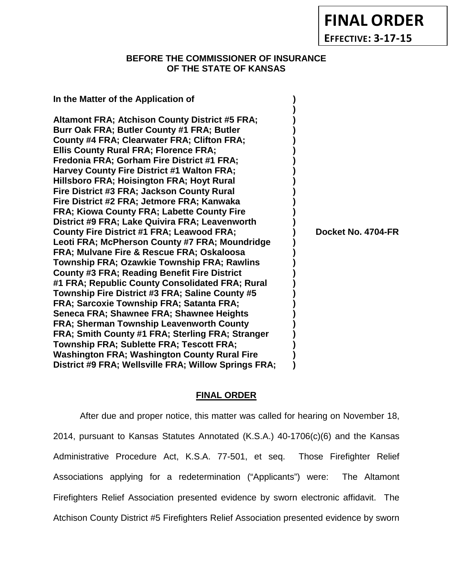**FINAL ORDER**

**EFFECTIVE: 3-17-15**

### **BEFORE THE COMMISSIONER OF INSURANCE OF THE STATE OF KANSAS**

**In the Matter of the Application of ) ) Altamont FRA; Atchison County District #5 FRA; ) Burr Oak FRA; Butler County #1 FRA; Butler ) County #4 FRA; Clearwater FRA; Clifton FRA; ) Ellis County Rural FRA; Florence FRA; ) Fredonia FRA; Gorham Fire District #1 FRA; ) Harvey County Fire District #1 Walton FRA; ) Hillsboro FRA; Hoisington FRA; Hoyt Rural ) Fire District #3 FRA; Jackson County Rural ) Fire District #2 FRA; Jetmore FRA; Kanwaka ) FRA; Kiowa County FRA; Labette County Fire ) District #9 FRA; Lake Quivira FRA; Leavenworth )** County Fire District #1 FRA; Leawood FRA; (a) pocket No. 4704-FR **Leoti FRA; McPherson County #7 FRA; Moundridge ) FRA; Mulvane Fire & Rescue FRA; Oskaloosa ) Township FRA; Ozawkie Township FRA; Rawlins ) County #3 FRA; Reading Benefit Fire District ) #1 FRA; Republic County Consolidated FRA; Rural ) Township Fire District #3 FRA; Saline County #5 ) FRA; Sarcoxie Township FRA; Satanta FRA; ) Seneca FRA; Shawnee FRA; Shawnee Heights ) FRA; Sherman Township Leavenworth County ) FRA; Smith County #1 FRA; Sterling FRA; Stranger ) Township FRA; Sublette FRA; Tescott FRA; ) Washington FRA; Washington County Rural Fire ) District #9 FRA; Wellsville FRA; Willow Springs FRA; )**

#### **FINAL ORDER**

After due and proper notice, this matter was called for hearing on November 18, 2014, pursuant to Kansas Statutes Annotated (K.S.A.) 40-1706(c)(6) and the Kansas Administrative Procedure Act, K.S.A. 77-501, et seq. Those Firefighter Relief Associations applying for a redetermination ("Applicants") were: The Altamont Firefighters Relief Association presented evidence by sworn electronic affidavit. The Atchison County District #5 Firefighters Relief Association presented evidence by sworn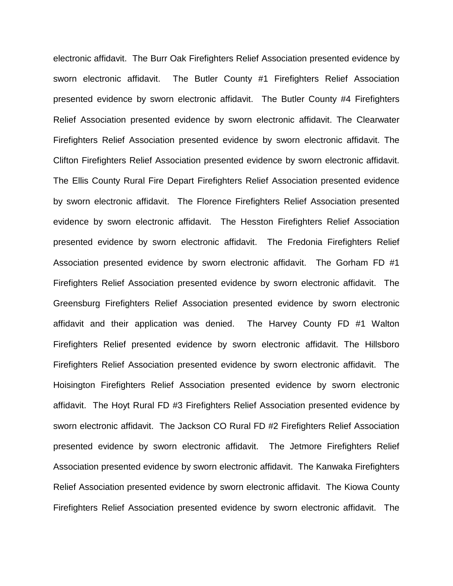electronic affidavit. The Burr Oak Firefighters Relief Association presented evidence by sworn electronic affidavit. The Butler County #1 Firefighters Relief Association presented evidence by sworn electronic affidavit. The Butler County #4 Firefighters Relief Association presented evidence by sworn electronic affidavit. The Clearwater Firefighters Relief Association presented evidence by sworn electronic affidavit. The Clifton Firefighters Relief Association presented evidence by sworn electronic affidavit. The Ellis County Rural Fire Depart Firefighters Relief Association presented evidence by sworn electronic affidavit. The Florence Firefighters Relief Association presented evidence by sworn electronic affidavit. The Hesston Firefighters Relief Association presented evidence by sworn electronic affidavit. The Fredonia Firefighters Relief Association presented evidence by sworn electronic affidavit. The Gorham FD #1 Firefighters Relief Association presented evidence by sworn electronic affidavit. The Greensburg Firefighters Relief Association presented evidence by sworn electronic affidavit and their application was denied. The Harvey County FD #1 Walton Firefighters Relief presented evidence by sworn electronic affidavit. The Hillsboro Firefighters Relief Association presented evidence by sworn electronic affidavit. The Hoisington Firefighters Relief Association presented evidence by sworn electronic affidavit. The Hoyt Rural FD #3 Firefighters Relief Association presented evidence by sworn electronic affidavit. The Jackson CO Rural FD #2 Firefighters Relief Association presented evidence by sworn electronic affidavit. The Jetmore Firefighters Relief Association presented evidence by sworn electronic affidavit. The Kanwaka Firefighters Relief Association presented evidence by sworn electronic affidavit. The Kiowa County Firefighters Relief Association presented evidence by sworn electronic affidavit. The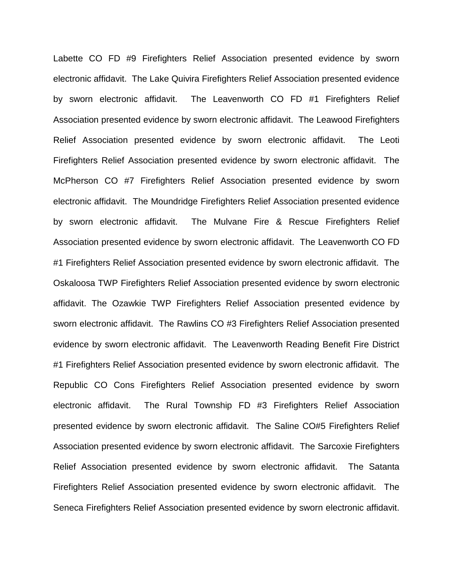Labette CO FD #9 Firefighters Relief Association presented evidence by sworn electronic affidavit. The Lake Quivira Firefighters Relief Association presented evidence by sworn electronic affidavit. The Leavenworth CO FD #1 Firefighters Relief Association presented evidence by sworn electronic affidavit. The Leawood Firefighters Relief Association presented evidence by sworn electronic affidavit. The Leoti Firefighters Relief Association presented evidence by sworn electronic affidavit. The McPherson CO #7 Firefighters Relief Association presented evidence by sworn electronic affidavit. The Moundridge Firefighters Relief Association presented evidence by sworn electronic affidavit. The Mulvane Fire & Rescue Firefighters Relief Association presented evidence by sworn electronic affidavit. The Leavenworth CO FD #1 Firefighters Relief Association presented evidence by sworn electronic affidavit. The Oskaloosa TWP Firefighters Relief Association presented evidence by sworn electronic affidavit. The Ozawkie TWP Firefighters Relief Association presented evidence by sworn electronic affidavit. The Rawlins CO #3 Firefighters Relief Association presented evidence by sworn electronic affidavit. The Leavenworth Reading Benefit Fire District #1 Firefighters Relief Association presented evidence by sworn electronic affidavit. The Republic CO Cons Firefighters Relief Association presented evidence by sworn electronic affidavit. The Rural Township FD #3 Firefighters Relief Association presented evidence by sworn electronic affidavit. The Saline CO#5 Firefighters Relief Association presented evidence by sworn electronic affidavit. The Sarcoxie Firefighters Relief Association presented evidence by sworn electronic affidavit. The Satanta Firefighters Relief Association presented evidence by sworn electronic affidavit. The Seneca Firefighters Relief Association presented evidence by sworn electronic affidavit.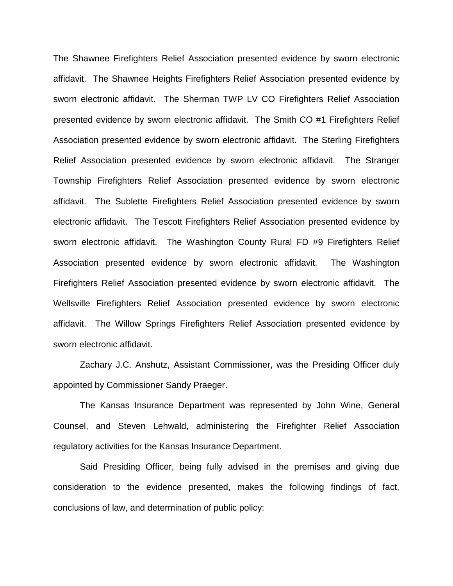The Shawnee Firefighters Relief Association presented evidence by sworn electronic affidavit. The Shawnee Heights Firefighters Relief Association presented evidence by sworn electronic affidavit. The Sherman TWP LV CO Firefighters Relief Association presented evidence by sworn electronic affidavit. The Smith CO #1 Firefighters Relief Association presented evidence by sworn electronic affidavit. The Sterling Firefighters Relief Association presented evidence by sworn electronic affidavit. The Stranger Township Firefighters Relief Association presented evidence by sworn electronic affidavit. The Sublette Firefighters Relief Association presented evidence by sworn electronic affidavit. The Tescott Firefighters Relief Association presented evidence by sworn electronic affidavit. The Washington County Rural FD #9 Firefighters Relief Association presented evidence by sworn electronic affidavit. The Washington Firefighters Relief Association presented evidence by sworn electronic affidavit. The Wellsville Firefighters Relief Association presented evidence by sworn electronic affidavit. The Willow Springs Firefighters Relief Association presented evidence by sworn electronic affidavit.

Zachary J.C. Anshutz, Assistant Commissioner, was the Presiding Officer duly appointed by Commissioner Sandy Praeger.

The Kansas Insurance Department was represented by John Wine, General Counsel, and Steven Lehwald, administering the Firefighter Relief Association regulatory activities for the Kansas Insurance Department.

Said Presiding Officer, being fully advised in the premises and giving due consideration to the evidence presented, makes the following findings of fact, conclusions of law, and determination of public policy: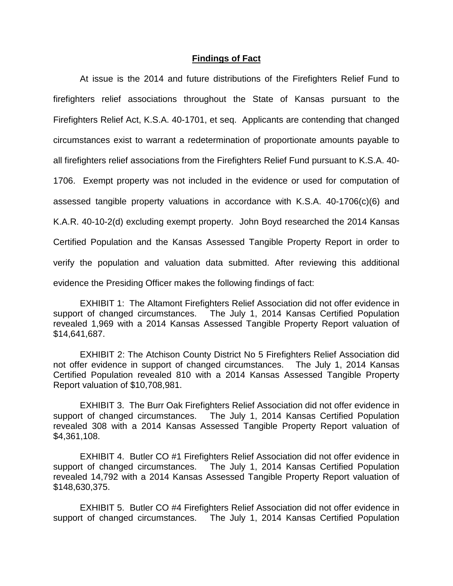#### **Findings of Fact**

At issue is the 2014 and future distributions of the Firefighters Relief Fund to firefighters relief associations throughout the State of Kansas pursuant to the Firefighters Relief Act, K.S.A. 40-1701, et seq. Applicants are contending that changed circumstances exist to warrant a redetermination of proportionate amounts payable to all firefighters relief associations from the Firefighters Relief Fund pursuant to K.S.A. 40- 1706. Exempt property was not included in the evidence or used for computation of assessed tangible property valuations in accordance with K.S.A. 40-1706(c)(6) and K.A.R. 40-10-2(d) excluding exempt property. John Boyd researched the 2014 Kansas Certified Population and the Kansas Assessed Tangible Property Report in order to verify the population and valuation data submitted. After reviewing this additional evidence the Presiding Officer makes the following findings of fact:

EXHIBIT 1: The Altamont Firefighters Relief Association did not offer evidence in support of changed circumstances. The July 1, 2014 Kansas Certified Population revealed 1,969 with a 2014 Kansas Assessed Tangible Property Report valuation of \$14,641,687.

EXHIBIT 2: The Atchison County District No 5 Firefighters Relief Association did not offer evidence in support of changed circumstances. The July 1, 2014 Kansas Certified Population revealed 810 with a 2014 Kansas Assessed Tangible Property Report valuation of \$10,708,981.

EXHIBIT 3. The Burr Oak Firefighters Relief Association did not offer evidence in support of changed circumstances. The July 1, 2014 Kansas Certified Population revealed 308 with a 2014 Kansas Assessed Tangible Property Report valuation of \$4,361,108.

EXHIBIT 4. Butler CO #1 Firefighters Relief Association did not offer evidence in support of changed circumstances. The July 1, 2014 Kansas Certified Population revealed 14,792 with a 2014 Kansas Assessed Tangible Property Report valuation of \$148,630,375.

EXHIBIT 5. Butler CO #4 Firefighters Relief Association did not offer evidence in support of changed circumstances. The July 1, 2014 Kansas Certified Population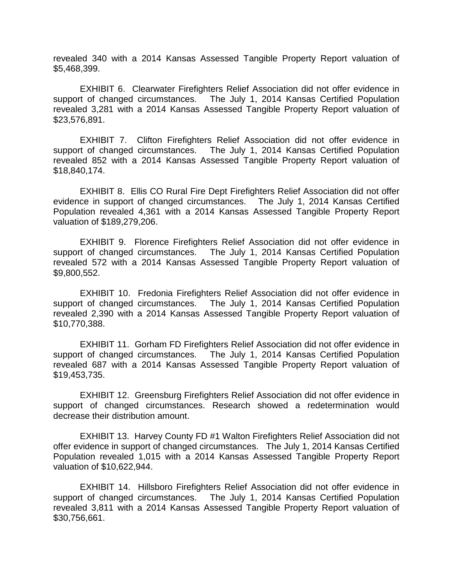revealed 340 with a 2014 Kansas Assessed Tangible Property Report valuation of \$5,468,399.

EXHIBIT 6. Clearwater Firefighters Relief Association did not offer evidence in support of changed circumstances. The July 1, 2014 Kansas Certified Population revealed 3,281 with a 2014 Kansas Assessed Tangible Property Report valuation of \$23,576,891.

EXHIBIT 7. Clifton Firefighters Relief Association did not offer evidence in support of changed circumstances. The July 1, 2014 Kansas Certified Population revealed 852 with a 2014 Kansas Assessed Tangible Property Report valuation of \$18,840,174.

EXHIBIT 8. Ellis CO Rural Fire Dept Firefighters Relief Association did not offer evidence in support of changed circumstances. The July 1, 2014 Kansas Certified Population revealed 4,361 with a 2014 Kansas Assessed Tangible Property Report valuation of \$189,279,206.

EXHIBIT 9. Florence Firefighters Relief Association did not offer evidence in support of changed circumstances. The July 1, 2014 Kansas Certified Population revealed 572 with a 2014 Kansas Assessed Tangible Property Report valuation of \$9,800,552.

EXHIBIT 10. Fredonia Firefighters Relief Association did not offer evidence in support of changed circumstances. The July 1, 2014 Kansas Certified Population revealed 2,390 with a 2014 Kansas Assessed Tangible Property Report valuation of \$10,770,388.

EXHIBIT 11. Gorham FD Firefighters Relief Association did not offer evidence in support of changed circumstances. The July 1, 2014 Kansas Certified Population revealed 687 with a 2014 Kansas Assessed Tangible Property Report valuation of \$19,453,735.

EXHIBIT 12. Greensburg Firefighters Relief Association did not offer evidence in support of changed circumstances. Research showed a redetermination would decrease their distribution amount.

EXHIBIT 13. Harvey County FD #1 Walton Firefighters Relief Association did not offer evidence in support of changed circumstances. The July 1, 2014 Kansas Certified Population revealed 1,015 with a 2014 Kansas Assessed Tangible Property Report valuation of \$10,622,944.

EXHIBIT 14. Hillsboro Firefighters Relief Association did not offer evidence in support of changed circumstances. The July 1, 2014 Kansas Certified Population revealed 3,811 with a 2014 Kansas Assessed Tangible Property Report valuation of \$30,756,661.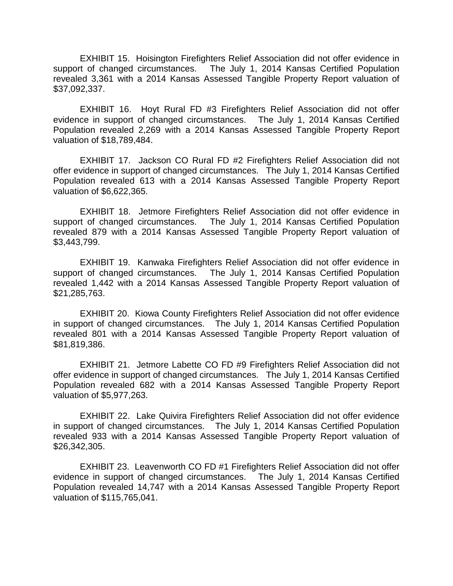EXHIBIT 15. Hoisington Firefighters Relief Association did not offer evidence in support of changed circumstances. The July 1, 2014 Kansas Certified Population revealed 3,361 with a 2014 Kansas Assessed Tangible Property Report valuation of \$37,092,337.

EXHIBIT 16. Hoyt Rural FD #3 Firefighters Relief Association did not offer evidence in support of changed circumstances. The July 1, 2014 Kansas Certified Population revealed 2,269 with a 2014 Kansas Assessed Tangible Property Report valuation of \$18,789,484.

EXHIBIT 17. Jackson CO Rural FD #2 Firefighters Relief Association did not offer evidence in support of changed circumstances. The July 1, 2014 Kansas Certified Population revealed 613 with a 2014 Kansas Assessed Tangible Property Report valuation of \$6,622,365.

EXHIBIT 18. Jetmore Firefighters Relief Association did not offer evidence in support of changed circumstances. The July 1, 2014 Kansas Certified Population revealed 879 with a 2014 Kansas Assessed Tangible Property Report valuation of \$3,443,799.

EXHIBIT 19. Kanwaka Firefighters Relief Association did not offer evidence in support of changed circumstances. The July 1, 2014 Kansas Certified Population revealed 1,442 with a 2014 Kansas Assessed Tangible Property Report valuation of \$21,285,763.

EXHIBIT 20. Kiowa County Firefighters Relief Association did not offer evidence in support of changed circumstances. The July 1, 2014 Kansas Certified Population revealed 801 with a 2014 Kansas Assessed Tangible Property Report valuation of \$81,819,386.

EXHIBIT 21. Jetmore Labette CO FD #9 Firefighters Relief Association did not offer evidence in support of changed circumstances. The July 1, 2014 Kansas Certified Population revealed 682 with a 2014 Kansas Assessed Tangible Property Report valuation of \$5,977,263.

EXHIBIT 22. Lake Quivira Firefighters Relief Association did not offer evidence in support of changed circumstances. The July 1, 2014 Kansas Certified Population revealed 933 with a 2014 Kansas Assessed Tangible Property Report valuation of \$26,342,305.

EXHIBIT 23. Leavenworth CO FD #1 Firefighters Relief Association did not offer evidence in support of changed circumstances. The July 1, 2014 Kansas Certified Population revealed 14,747 with a 2014 Kansas Assessed Tangible Property Report valuation of \$115,765,041.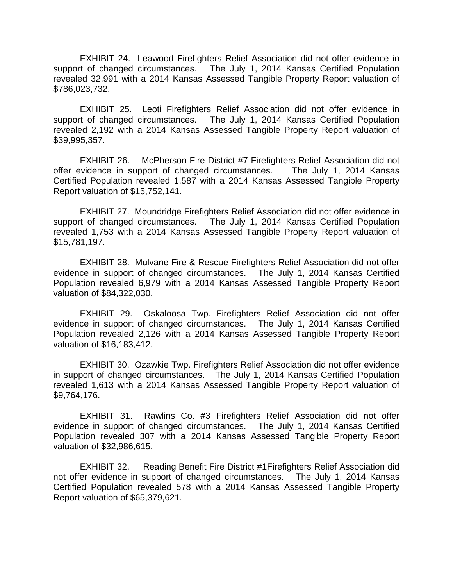EXHIBIT 24. Leawood Firefighters Relief Association did not offer evidence in support of changed circumstances. The July 1, 2014 Kansas Certified Population revealed 32,991 with a 2014 Kansas Assessed Tangible Property Report valuation of \$786,023,732.

EXHIBIT 25. Leoti Firefighters Relief Association did not offer evidence in support of changed circumstances. The July 1, 2014 Kansas Certified Population revealed 2,192 with a 2014 Kansas Assessed Tangible Property Report valuation of \$39,995,357.

EXHIBIT 26. McPherson Fire District #7 Firefighters Relief Association did not offer evidence in support of changed circumstances. The July 1, 2014 Kansas Certified Population revealed 1,587 with a 2014 Kansas Assessed Tangible Property Report valuation of \$15,752,141.

EXHIBIT 27. Moundridge Firefighters Relief Association did not offer evidence in support of changed circumstances. The July 1, 2014 Kansas Certified Population revealed 1,753 with a 2014 Kansas Assessed Tangible Property Report valuation of \$15,781,197.

EXHIBIT 28. Mulvane Fire & Rescue Firefighters Relief Association did not offer evidence in support of changed circumstances. The July 1, 2014 Kansas Certified Population revealed 6,979 with a 2014 Kansas Assessed Tangible Property Report valuation of \$84,322,030.

EXHIBIT 29. Oskaloosa Twp. Firefighters Relief Association did not offer evidence in support of changed circumstances. The July 1, 2014 Kansas Certified Population revealed 2,126 with a 2014 Kansas Assessed Tangible Property Report valuation of \$16,183,412.

EXHIBIT 30. Ozawkie Twp. Firefighters Relief Association did not offer evidence in support of changed circumstances. The July 1, 2014 Kansas Certified Population revealed 1,613 with a 2014 Kansas Assessed Tangible Property Report valuation of \$9,764,176.

EXHIBIT 31. Rawlins Co. #3 Firefighters Relief Association did not offer evidence in support of changed circumstances. The July 1, 2014 Kansas Certified Population revealed 307 with a 2014 Kansas Assessed Tangible Property Report valuation of \$32,986,615.

EXHIBIT 32. Reading Benefit Fire District #1Firefighters Relief Association did not offer evidence in support of changed circumstances. The July 1, 2014 Kansas Certified Population revealed 578 with a 2014 Kansas Assessed Tangible Property Report valuation of \$65,379,621.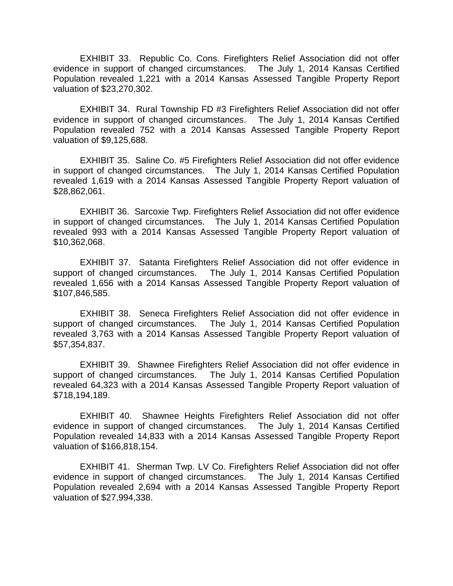EXHIBIT 33. Republic Co. Cons. Firefighters Relief Association did not offer evidence in support of changed circumstances. The July 1, 2014 Kansas Certified Population revealed 1,221 with a 2014 Kansas Assessed Tangible Property Report valuation of \$23,270,302.

EXHIBIT 34. Rural Township FD #3 Firefighters Relief Association did not offer evidence in support of changed circumstances. The July 1, 2014 Kansas Certified Population revealed 752 with a 2014 Kansas Assessed Tangible Property Report valuation of \$9,125,688.

EXHIBIT 35. Saline Co. #5 Firefighters Relief Association did not offer evidence in support of changed circumstances. The July 1, 2014 Kansas Certified Population revealed 1,619 with a 2014 Kansas Assessed Tangible Property Report valuation of \$28,862,061.

EXHIBIT 36. Sarcoxie Twp. Firefighters Relief Association did not offer evidence in support of changed circumstances. The July 1, 2014 Kansas Certified Population revealed 993 with a 2014 Kansas Assessed Tangible Property Report valuation of \$10,362,068.

EXHIBIT 37. Satanta Firefighters Relief Association did not offer evidence in support of changed circumstances. The July 1, 2014 Kansas Certified Population revealed 1,656 with a 2014 Kansas Assessed Tangible Property Report valuation of \$107,846,585.

EXHIBIT 38. Seneca Firefighters Relief Association did not offer evidence in support of changed circumstances. The July 1, 2014 Kansas Certified Population revealed 3,763 with a 2014 Kansas Assessed Tangible Property Report valuation of \$57,354,837.

EXHIBIT 39. Shawnee Firefighters Relief Association did not offer evidence in support of changed circumstances. The July 1, 2014 Kansas Certified Population revealed 64,323 with a 2014 Kansas Assessed Tangible Property Report valuation of \$718,194,189.

EXHIBIT 40. Shawnee Heights Firefighters Relief Association did not offer evidence in support of changed circumstances. The July 1, 2014 Kansas Certified Population revealed 14,833 with a 2014 Kansas Assessed Tangible Property Report valuation of \$166,818,154.

EXHIBIT 41. Sherman Twp. LV Co. Firefighters Relief Association did not offer evidence in support of changed circumstances. The July 1, 2014 Kansas Certified Population revealed 2,694 with a 2014 Kansas Assessed Tangible Property Report valuation of \$27,994,338.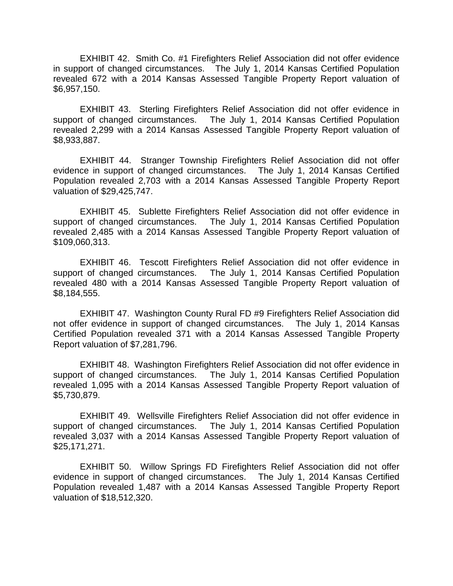EXHIBIT 42. Smith Co. #1 Firefighters Relief Association did not offer evidence in support of changed circumstances. The July 1, 2014 Kansas Certified Population revealed 672 with a 2014 Kansas Assessed Tangible Property Report valuation of \$6,957,150.

EXHIBIT 43. Sterling Firefighters Relief Association did not offer evidence in support of changed circumstances. The July 1, 2014 Kansas Certified Population revealed 2,299 with a 2014 Kansas Assessed Tangible Property Report valuation of \$8,933,887.

EXHIBIT 44. Stranger Township Firefighters Relief Association did not offer evidence in support of changed circumstances. The July 1, 2014 Kansas Certified Population revealed 2,703 with a 2014 Kansas Assessed Tangible Property Report valuation of \$29,425,747.

EXHIBIT 45. Sublette Firefighters Relief Association did not offer evidence in support of changed circumstances. The July 1, 2014 Kansas Certified Population revealed 2,485 with a 2014 Kansas Assessed Tangible Property Report valuation of \$109,060,313.

EXHIBIT 46. Tescott Firefighters Relief Association did not offer evidence in support of changed circumstances. The July 1, 2014 Kansas Certified Population revealed 480 with a 2014 Kansas Assessed Tangible Property Report valuation of \$8,184,555.

EXHIBIT 47. Washington County Rural FD #9 Firefighters Relief Association did not offer evidence in support of changed circumstances. The July 1, 2014 Kansas Certified Population revealed 371 with a 2014 Kansas Assessed Tangible Property Report valuation of \$7,281,796.

EXHIBIT 48. Washington Firefighters Relief Association did not offer evidence in support of changed circumstances. The July 1, 2014 Kansas Certified Population revealed 1,095 with a 2014 Kansas Assessed Tangible Property Report valuation of \$5,730,879.

EXHIBIT 49. Wellsville Firefighters Relief Association did not offer evidence in support of changed circumstances. The July 1, 2014 Kansas Certified Population revealed 3,037 with a 2014 Kansas Assessed Tangible Property Report valuation of \$25,171,271.

EXHIBIT 50. Willow Springs FD Firefighters Relief Association did not offer evidence in support of changed circumstances. The July 1, 2014 Kansas Certified Population revealed 1,487 with a 2014 Kansas Assessed Tangible Property Report valuation of \$18,512,320.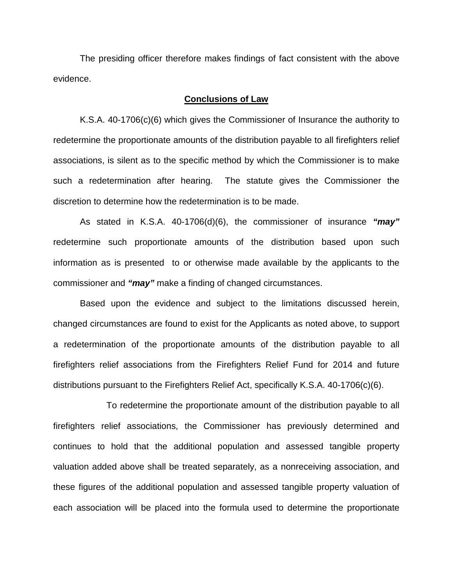The presiding officer therefore makes findings of fact consistent with the above evidence.

### **Conclusions of Law**

K.S.A. 40-1706(c)(6) which gives the Commissioner of Insurance the authority to redetermine the proportionate amounts of the distribution payable to all firefighters relief associations, is silent as to the specific method by which the Commissioner is to make such a redetermination after hearing. The statute gives the Commissioner the discretion to determine how the redetermination is to be made.

As stated in K.S.A. 40-1706(d)(6), the commissioner of insurance *"may"* redetermine such proportionate amounts of the distribution based upon such information as is presented to or otherwise made available by the applicants to the commissioner and *"may"* make a finding of changed circumstances.

Based upon the evidence and subject to the limitations discussed herein, changed circumstances are found to exist for the Applicants as noted above, to support a redetermination of the proportionate amounts of the distribution payable to all firefighters relief associations from the Firefighters Relief Fund for 2014 and future distributions pursuant to the Firefighters Relief Act, specifically K.S.A. 40-1706(c)(6).

To redetermine the proportionate amount of the distribution payable to all firefighters relief associations, the Commissioner has previously determined and continues to hold that the additional population and assessed tangible property valuation added above shall be treated separately, as a nonreceiving association, and these figures of the additional population and assessed tangible property valuation of each association will be placed into the formula used to determine the proportionate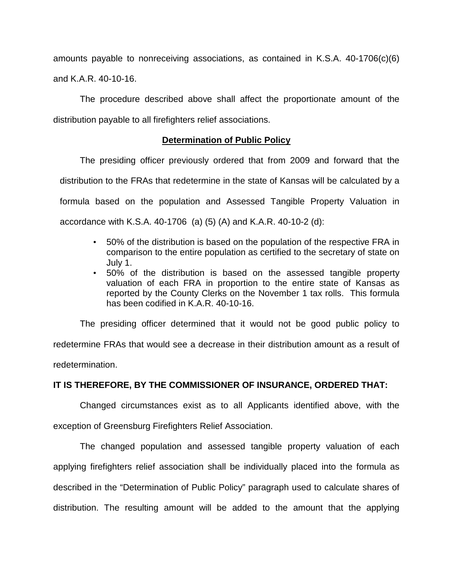amounts payable to nonreceiving associations, as contained in K.S.A. 40-1706(c)(6) and K.A.R. 40-10-16.

The procedure described above shall affect the proportionate amount of the distribution payable to all firefighters relief associations.

# **Determination of Public Policy**

The presiding officer previously ordered that from 2009 and forward that the distribution to the FRAs that redetermine in the state of Kansas will be calculated by a formula based on the population and Assessed Tangible Property Valuation in accordance with K.S.A. 40-1706 (a) (5) (A) and K.A.R. 40-10-2 (d):

- 50% of the distribution is based on the population of the respective FRA in comparison to the entire population as certified to the secretary of state on July 1.
- 50% of the distribution is based on the assessed tangible property valuation of each FRA in proportion to the entire state of Kansas as reported by the County Clerks on the November 1 tax rolls. This formula has been codified in K.A.R. 40-10-16.

The presiding officer determined that it would not be good public policy to redetermine FRAs that would see a decrease in their distribution amount as a result of redetermination.

## **IT IS THEREFORE, BY THE COMMISSIONER OF INSURANCE, ORDERED THAT:**

Changed circumstances exist as to all Applicants identified above, with the

exception of Greensburg Firefighters Relief Association.

The changed population and assessed tangible property valuation of each applying firefighters relief association shall be individually placed into the formula as described in the "Determination of Public Policy" paragraph used to calculate shares of distribution. The resulting amount will be added to the amount that the applying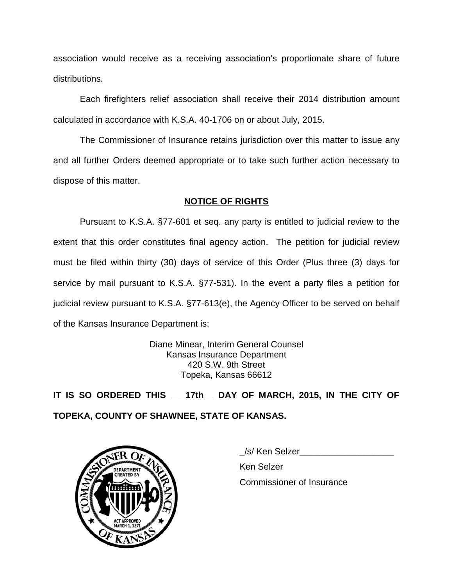association would receive as a receiving association's proportionate share of future distributions.

Each firefighters relief association shall receive their 2014 distribution amount calculated in accordance with K.S.A. 40-1706 on or about July, 2015.

The Commissioner of Insurance retains jurisdiction over this matter to issue any and all further Orders deemed appropriate or to take such further action necessary to dispose of this matter.

# **NOTICE OF RIGHTS**

Pursuant to K.S.A. §77-601 et seq. any party is entitled to judicial review to the extent that this order constitutes final agency action. The petition for judicial review must be filed within thirty (30) days of service of this Order (Plus three (3) days for service by mail pursuant to K.S.A. §77-531). In the event a party files a petition for judicial review pursuant to K.S.A. §77-613(e), the Agency Officer to be served on behalf of the Kansas Insurance Department is:

> Diane Minear, Interim General Counsel Kansas Insurance Department 420 S.W. 9th Street Topeka, Kansas 66612

**IT IS SO ORDERED THIS \_\_\_17th\_\_ DAY OF MARCH, 2015, IN THE CITY OF TOPEKA, COUNTY OF SHAWNEE, STATE OF KANSAS.**



\_/s/ Ken Selzer\_\_\_\_\_\_\_\_\_\_\_\_\_\_\_\_\_\_\_

Ken Selzer

Commissioner of Insurance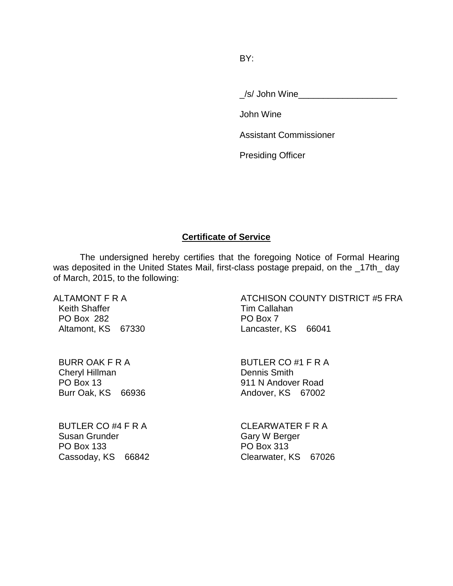BY:

/s/ John Wine

John Wine

Assistant Commissioner

Presiding Officer

### **Certificate of Service**

The undersigned hereby certifies that the foregoing Notice of Formal Hearing was deposited in the United States Mail, first-class postage prepaid, on the \_17th\_ day of March, 2015, to the following:

ALTAMONT F R A Keith Shaffer PO Box 282 Altamont, KS 67330 ATCHISON COUNTY DISTRICT #5 FRA Tim Callahan PO Box 7 Lancaster, KS 66041

BURR OAK F R A Cheryl Hillman PO Box 13 Burr Oak, KS 66936 BUTLER CO #1 F R A Dennis Smith 911 N Andover Road Andover, KS 67002

BUTLER CO #4 F R A Susan Grunder PO Box 133 Cassoday, KS 66842 CLEARWATER F R A Gary W Berger PO Box 313 Clearwater, KS 67026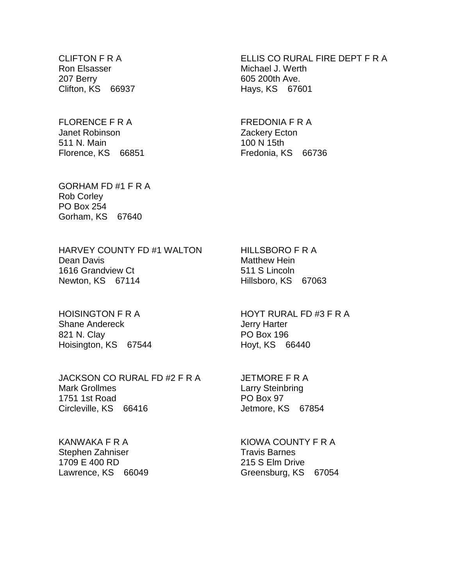CLIFTON F R A Ron Elsasser 207 Berry Clifton, KS 66937

FLORENCE F R A Janet Robinson 511 N. Main Florence, KS 66851 ELLIS CO RURAL FIRE DEPT F R A Michael J. Werth 605 200th Ave. Hays, KS 67601

FREDONIA F R A Zackery Ecton 100 N 15th Fredonia, KS 66736

GORHAM FD #1 F R A Rob Corley PO Box 254 Gorham, KS 67640

HARVEY COUNTY FD #1 WALTON Dean Davis 1616 Grandview Ct Newton, KS 67114

HOISINGTON F R A Shane Andereck 821 N. Clay Hoisington, KS 67544

JACKSON CO RURAL FD #2 F R A Mark Grollmes 1751 1st Road Circleville, KS 66416

KANWAKA F R A Stephen Zahniser 1709 E 400 RD Lawrence, KS 66049 HILLSBORO F R A Matthew Hein 511 S Lincoln Hillsboro, KS 67063

HOYT RURAL FD #3 F R A Jerry Harter PO Box 196 Hoyt, KS 66440

JETMORE F R A Larry Steinbring PO Box 97 Jetmore, KS 67854

KIOWA COUNTY F R A Travis Barnes 215 S Elm Drive Greensburg, KS 67054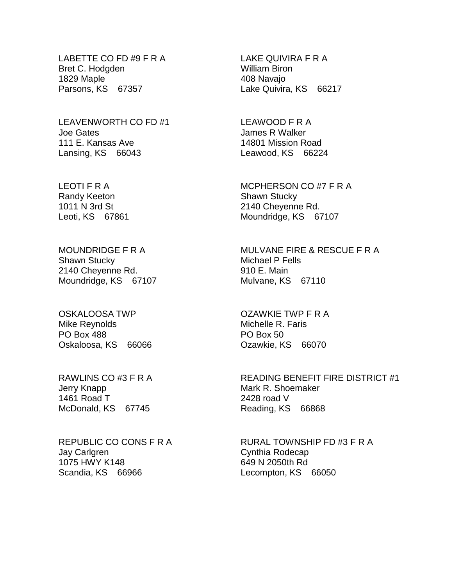LABETTE CO FD #9 F R A Bret C. Hodgden 1829 Maple Parsons, KS 67357

LEAVENWORTH CO FD #1 Joe Gates 111 E. Kansas Ave Lansing, KS 66043

LEOTI F R A Randy Keeton 1011 N 3rd St Leoti, KS 67861

MOUNDRIDGE F R A Shawn Stucky 2140 Cheyenne Rd. Moundridge, KS 67107

OSKALOOSA TWP Mike Reynolds PO Box 488 Oskaloosa, KS 66066

RAWLINS CO #3 F R A Jerry Knapp 1461 Road T McDonald, KS 67745

REPUBLIC CO CONS F R A Jay Carlgren 1075 HWY K148 Scandia, KS 66966

LAKE QUIVIRA F R A William Biron 408 Navajo Lake Quivira, KS 66217

LEAWOOD F R A James R Walker 14801 Mission Road Leawood, KS 66224

MCPHERSON CO #7 F R A Shawn Stucky 2140 Cheyenne Rd. Moundridge, KS 67107

MULVANE FIRE & RESCUE F R A Michael P Fells 910 E. Main Mulvane, KS 67110

OZAWKIE TWP F R A Michelle R. Faris PO Box 50 Ozawkie, KS 66070

READING BENEFIT FIRE DISTRICT #1 Mark R. Shoemaker 2428 road V Reading, KS 66868

RURAL TOWNSHIP FD #3 F R A Cynthia Rodecap 649 N 2050th Rd Lecompton, KS 66050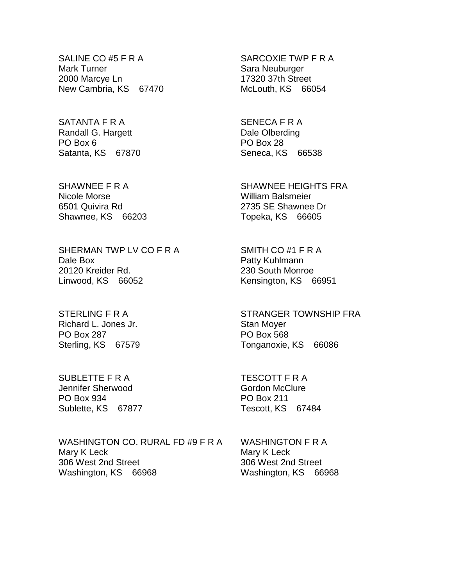SALINE CO #5 F R A Mark Turner 2000 Marcye Ln New Cambria, KS 67470

SATANTA F R A Randall G. Hargett PO Box 6 Satanta, KS 67870

SHAWNEE F R A Nicole Morse 6501 Quivira Rd Shawnee, KS 66203

SHERMAN TWP LV CO F R A Dale Box 20120 Kreider Rd. Linwood, KS 66052

STERLING F R A Richard L. Jones Jr. PO Box 287 Sterling, KS 67579

SUBLETTE F R A Jennifer Sherwood PO Box 934 Sublette, KS 67877

WASHINGTON CO. RURAL FD #9 F R A Mary K Leck 306 West 2nd Street Washington, KS 66968

SARCOXIE TWP F R A Sara Neuburger 17320 37th Street McLouth, KS 66054

SENECA F R A Dale Olberding PO Box 28 Seneca, KS 66538

SHAWNEE HEIGHTS FRA William Balsmeier 2735 SE Shawnee Dr Topeka, KS 66605

SMITH CO #1 F R A Patty Kuhlmann 230 South Monroe Kensington, KS 66951

STRANGER TOWNSHIP FRA Stan Moyer PO Box 568 Tonganoxie, KS 66086

TESCOTT F R A Gordon McClure PO Box 211 Tescott, KS 67484

WASHINGTON F R A Mary K Leck 306 West 2nd Street Washington, KS 66968